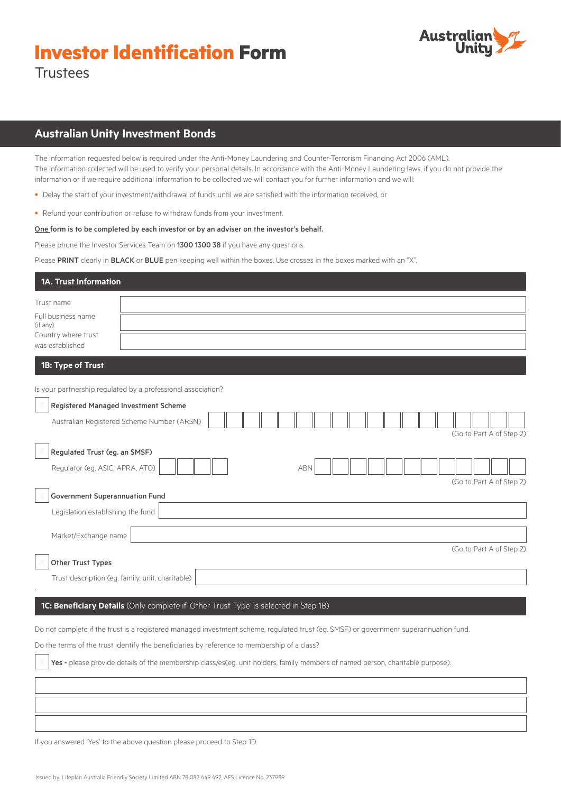# **Investor Identification Form**



**Trustees** 

# **Australian Unity Investment Bonds**

The information requested below is required under the Anti-Money Laundering and Counter-Terrorism Financing Act 2006 (AML). The information collected will be used to verify your personal details. In accordance with the Anti-Money Laundering laws, if you do not provide the information or if we require additional information to be collected we will contact you for further information and we will:

- Delay the start of your investment/withdrawal of funds until we are satisfied with the information received, or
- Refund your contribution or refuse to withdraw funds from your investment.

## One form is to be completed by each investor or by an adviser on the investor's behalf.

Please phone the Investor Services Team on 1300 1300 38 if you have any questions.

Please PRINT clearly in BLACK or BLUE pen keeping well within the boxes. Use crosses in the boxes marked with an "X".

| 1A. Trust Information                                               |                                                                                                                                       |
|---------------------------------------------------------------------|---------------------------------------------------------------------------------------------------------------------------------------|
| Trust name<br>Full business name<br>(if any)<br>Country where trust |                                                                                                                                       |
| was established                                                     |                                                                                                                                       |
| 1B: Type of Trust                                                   |                                                                                                                                       |
|                                                                     | Is your partnership regulated by a professional association?                                                                          |
| Registered Managed Investment Scheme                                | Australian Registered Scheme Number (ARSN)<br>(Go to Part A of Step 2)                                                                |
| Regulated Trust (eg. an SMSF)<br>Regulator (eg. ASIC, APRA, ATO)    | <b>ABN</b><br>(Go to Part A of Step 2)                                                                                                |
| <b>Government Superannuation Fund</b>                               |                                                                                                                                       |
| Legislation establishing the fund                                   |                                                                                                                                       |
| Market/Exchange name                                                | (Go to Part A of Step 2)                                                                                                              |
| Other Trust Types                                                   |                                                                                                                                       |
| Trust description (eg. family, unit, charitable)                    |                                                                                                                                       |
|                                                                     | 1C: Beneficiary Details (Only complete if 'Other Trust Type' is selected in Step 1B)                                                  |
|                                                                     | Do not complete if the trust is a registered managed investment scheme, regulated trust (eg. SMSF) or government superannuation fund. |
|                                                                     | Do the terms of the trust identify the beneficiaries by reference to membership of a class?                                           |
|                                                                     | Yes - please provide details of the membership class/es(eg. unit holders, family members of named person, charitable purpose).        |
|                                                                     |                                                                                                                                       |

If you answered 'Yes' to the above question please proceed to Step 1D.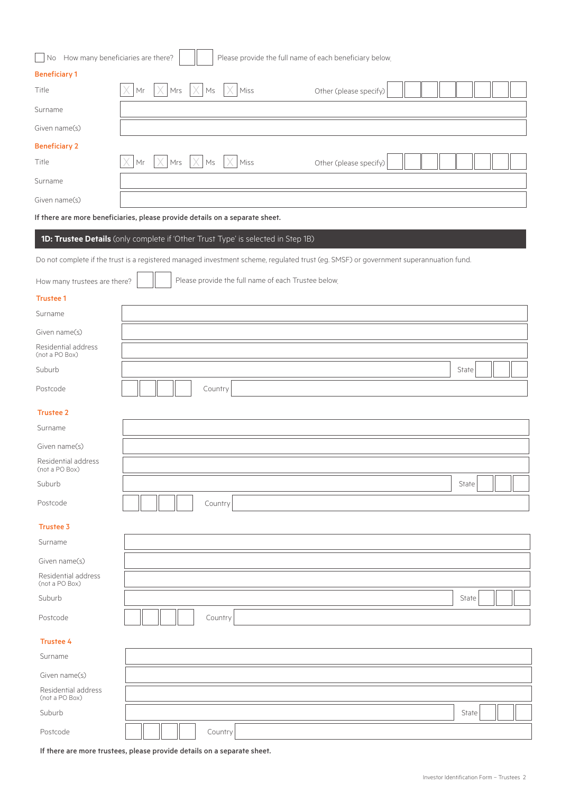| No How many beneficiaries are there?<br>Please provide the full name of each beneficiary below. |                                                                                                                                       |       |  |  |  |
|-------------------------------------------------------------------------------------------------|---------------------------------------------------------------------------------------------------------------------------------------|-------|--|--|--|
| <b>Beneficiary 1</b>                                                                            |                                                                                                                                       |       |  |  |  |
| Title                                                                                           | Mr<br>$ Mrs  \times$<br>Ms<br>Miss<br>Other (please specify)                                                                          |       |  |  |  |
| Surname                                                                                         |                                                                                                                                       |       |  |  |  |
| Given name(s)                                                                                   |                                                                                                                                       |       |  |  |  |
| <b>Beneficiary 2</b>                                                                            |                                                                                                                                       |       |  |  |  |
| Title                                                                                           | Mrs<br>Mr<br>$\times$<br>$ \times $ Ms<br>Miss<br>Other (please specify)                                                              |       |  |  |  |
| Surname                                                                                         |                                                                                                                                       |       |  |  |  |
| Given name(s)                                                                                   |                                                                                                                                       |       |  |  |  |
|                                                                                                 | If there are more beneficiaries, please provide details on a separate sheet.                                                          |       |  |  |  |
|                                                                                                 | 1D: Trustee Details (only complete if 'Other Trust Type' is selected in Step 1B)                                                      |       |  |  |  |
|                                                                                                 | Do not complete if the trust is a registered managed investment scheme, regulated trust (eg. SMSF) or government superannuation fund. |       |  |  |  |
| How many trustees are there?                                                                    | Please provide the full name of each Trustee below.                                                                                   |       |  |  |  |
| <b>Trustee 1</b>                                                                                |                                                                                                                                       |       |  |  |  |
| Surname                                                                                         |                                                                                                                                       |       |  |  |  |
| Given name(s)                                                                                   |                                                                                                                                       |       |  |  |  |
| Residential address<br>(not a PO Box)                                                           |                                                                                                                                       |       |  |  |  |
| Suburb                                                                                          |                                                                                                                                       | State |  |  |  |
| Postcode                                                                                        | Country                                                                                                                               |       |  |  |  |
| <b>Trustee 2</b>                                                                                |                                                                                                                                       |       |  |  |  |
| Surname                                                                                         |                                                                                                                                       |       |  |  |  |
| Given name(s)                                                                                   |                                                                                                                                       |       |  |  |  |
| Residential address<br>(not a PO Box)                                                           |                                                                                                                                       |       |  |  |  |
| Suburb                                                                                          |                                                                                                                                       | State |  |  |  |
| Postcode                                                                                        | Country                                                                                                                               |       |  |  |  |
| <b>Trustee 3</b>                                                                                |                                                                                                                                       |       |  |  |  |
| Surname                                                                                         |                                                                                                                                       |       |  |  |  |
| Given name(s)                                                                                   |                                                                                                                                       |       |  |  |  |
| Residential address                                                                             |                                                                                                                                       |       |  |  |  |
| (not a PO Box)<br>Suburb                                                                        |                                                                                                                                       | State |  |  |  |
|                                                                                                 |                                                                                                                                       |       |  |  |  |

| -<br>nstrnde |  |  |  |  | ∽<br>011n |
|--------------|--|--|--|--|-----------|
|--------------|--|--|--|--|-----------|

Trustee 4 Surname Given name(s) Residential address (not a PO Box) Suburb State Suburb State Suburb State Suburb State Suburb State Suburb State Suburb State State State State St Postcode  $\|\|\|\|\|\|$  Country

If there are more trustees, please provide details on a separate sheet.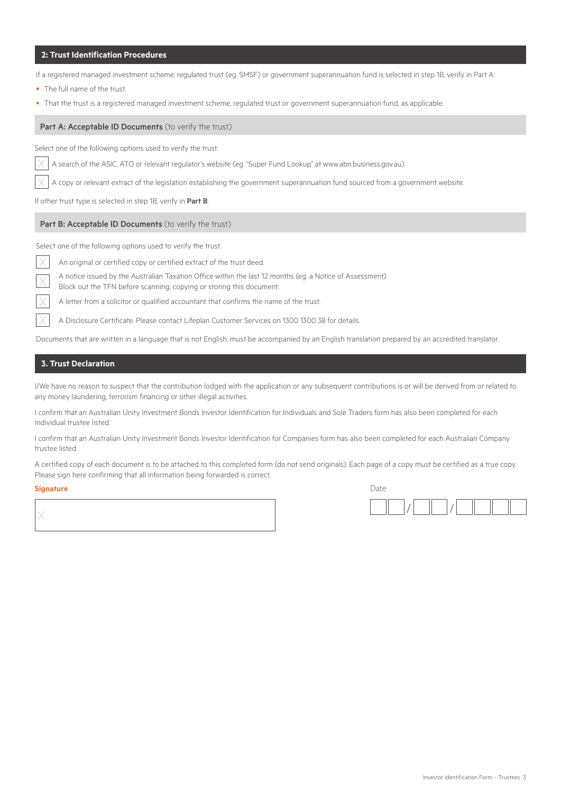## **2: Trust Identification Procedures**

If a registered managed investment scheme, regulated trust (eg. SMSF) or government superannuation fund is selected in step 1B, verify in Part A:

- The full name of the trust.
- That the trust is a registered managed investment scheme, regulated trust or government superannuation fund, as applicable.

## Part A: Acceptable ID Documents (to verify the trust)

Select one of the following options used to verify the trust.

X A search of the ASIC, ATO or relevant regulator's website (eg. "Super Fund Lookup" at www.abn.business.gov.au).

A copy or relevant extract of the legislation establishing the government superannuation fund sourced from a government website.

If other trust type is selected in step 1B, verify in Part B.

#### Part B: Acceptable ID Documents (to verify the trust)

Select one of the following options used to verify the trust.

An original or certified copy or certified extract of the trust deed.

A notice issued by the Australian Taxation Office within the last 12 months (eg. a Notice of Assessment).

Block out the TFN before scanning, copying or storing this document.

A letter from a solicitor or qualified accountant that confirms the name of the trust.

A Disclosure Certificate. Please contact Lifeplan Customer Services on 1300 1300 38 for details.

Documents that are written in a language that is not English, must be accompanied by an English translation prepared by an accredited translator.

## **3. Trust Declaration**

I/We have no reason to suspect that the contribution lodged with the application or any subsequent contributions is or will be derived from or related to any money laundering, terrorism financing or other illegal activities.

I confirm that an Australian Unity Investment Bonds Investor Identification for Individuals and Sole Traders form has also been completed for each Individual trustee listed.

I confirm that an Australian Unity Investment Bonds Investor Identification for Companies form has also been completed for each Australian Company trustee listed.

A certified copy of each document is to be attached to this completed form (do not send originals). Each page of a copy must be certified as a true copy. Please sign here confirming that all information being forwarded is correct.

#### **Signature** Date

| Date |  |  |
|------|--|--|
|      |  |  |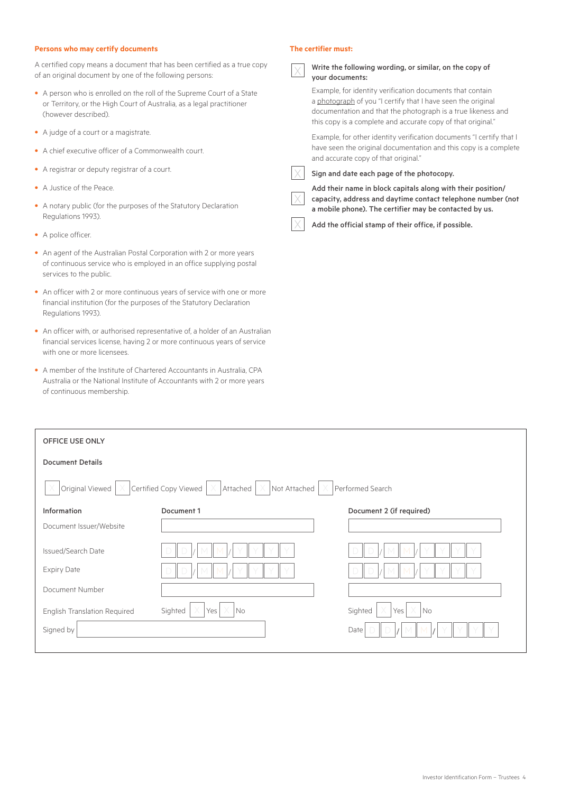## **Persons who may certify documents**

A certified copy means a document that has been certified as a true copy of an original document by one of the following persons:

- A person who is enrolled on the roll of the Supreme Court of a State or Territory, or the High Court of Australia, as a legal practitioner (however described).
- A judge of a court or a magistrate.
- A chief executive officer of a Commonwealth court.
- A registrar or deputy registrar of a court.
- A Justice of the Peace.
- A notary public (for the purposes of the Statutory Declaration Regulations 1993).
- A police officer.
- An agent of the Australian Postal Corporation with 2 or more years of continuous service who is employed in an office supplying postal services to the public.
- An officer with 2 or more continuous years of service with one or more financial institution (for the purposes of the Statutory Declaration Regulations 1993).
- An officer with, or authorised representative of, a holder of an Australian financial services license, having 2 or more continuous years of service with one or more licensees.
- A member of the Institute of Chartered Accountants in Australia, CPA Australia or the National Institute of Accountants with 2 or more years of continuous membership.

## **The certifier must:**

| Write the following wording, or similar, on the copy of<br>your documents:                                                                                                                                                                                |
|-----------------------------------------------------------------------------------------------------------------------------------------------------------------------------------------------------------------------------------------------------------|
| Example, for identity verification documents that contain<br>a photograph of you "I certify that I have seen the original<br>documentation and that the photograph is a true likeness and<br>this copy is a complete and accurate copy of that original." |
| Example, for other identity verification documents "I certify that I<br>have seen the original documentation and this copy is a complete<br>and accurate copy of that original."                                                                          |
| Sign and date each page of the photocopy.                                                                                                                                                                                                                 |
| Add their name in block capitals along with their position/<br>capacity, address and daytime contact telephone number (not<br>a mobile phone). The certifier may be contacted by us.                                                                      |

Add the official stamp of their office, if possible.

| <b>OFFICE USE ONLY</b>                                                                                                           |                                                        |                                                    |  |  |
|----------------------------------------------------------------------------------------------------------------------------------|--------------------------------------------------------|----------------------------------------------------|--|--|
| <b>Document Details</b>                                                                                                          |                                                        |                                                    |  |  |
| Certified Copy Viewed $\vert \times \vert$<br>Original Viewed<br>$\times$ Not Attached<br>Performed Search<br>Attached<br>X<br>X |                                                        |                                                    |  |  |
| Information                                                                                                                      | Document 1                                             | Document 2 (if required)                           |  |  |
| Document Issuer/Website                                                                                                          |                                                        |                                                    |  |  |
| Issued/Search Date                                                                                                               | $\Box$                                                 |                                                    |  |  |
| <b>Expiry Date</b>                                                                                                               |                                                        |                                                    |  |  |
| Document Number                                                                                                                  |                                                        |                                                    |  |  |
| <b>English Translation Required</b>                                                                                              | $\times$<br>Sighted<br>$\overline{\mathsf{No}}$<br>Yes | X<br>Sighted<br>$\overline{\phantom{a}}$ No<br>Yes |  |  |
| Signed by                                                                                                                        |                                                        | Date                                               |  |  |
|                                                                                                                                  |                                                        |                                                    |  |  |